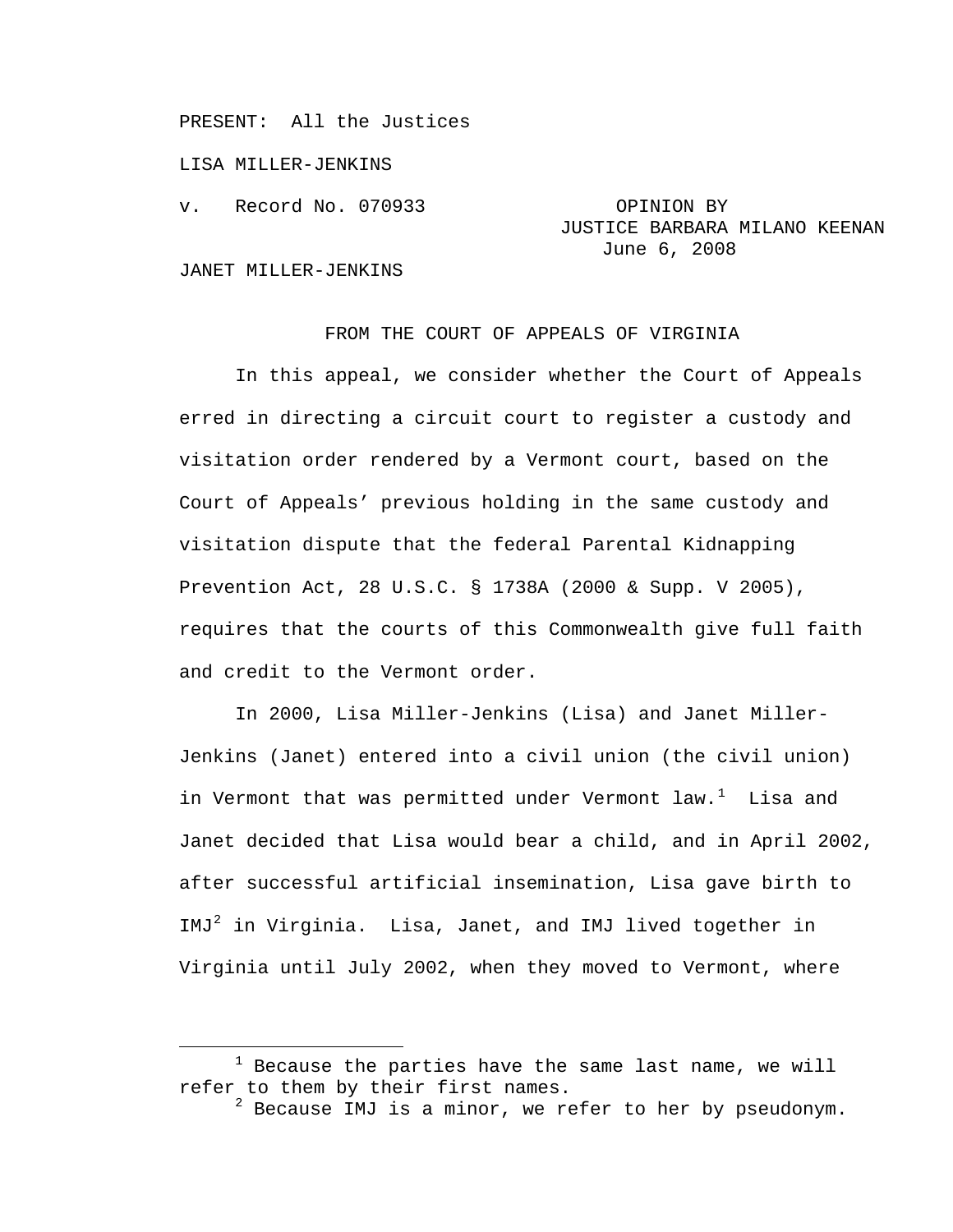PRESENT: All the Justices

LISA MILLER-JENKINS

v. Record No. 070933 OPINION BY

# JUSTICE BARBARA MILANO KEENAN June 6, 2008

#### JANET MILLER-JENKINS

## FROM THE COURT OF APPEALS OF VIRGINIA

 In this appeal, we consider whether the Court of Appeals erred in directing a circuit court to register a custody and visitation order rendered by a Vermont court, based on the Court of Appeals' previous holding in the same custody and visitation dispute that the federal Parental Kidnapping Prevention Act, 28 U.S.C. § 1738A (2000 & Supp. V 2005), requires that the courts of this Commonwealth give full faith and credit to the Vermont order.

 In 2000, Lisa Miller-Jenkins (Lisa) and Janet Miller-Jenkins (Janet) entered into a civil union (the civil union) in Vermont that was permitted under Vermont  $law.<sup>1</sup>$  $law.<sup>1</sup>$  $law.<sup>1</sup>$  Lisa and Janet decided that Lisa would bear a child, and in April 2002, after successful artificial insemination, Lisa gave birth to  $IMJ<sup>2</sup>$  $IMJ<sup>2</sup>$  $IMJ<sup>2</sup>$  in Virginia. Lisa, Janet, and IMJ lived together in Virginia until July 2002, when they moved to Vermont, where

<span id="page-0-1"></span><span id="page-0-0"></span><sup>&</sup>lt;u>1</u>  $1$  Because the parties have the same last name, we will refer to them by their first names.

 $^2$  Because IMJ is a minor, we refer to her by pseudonym.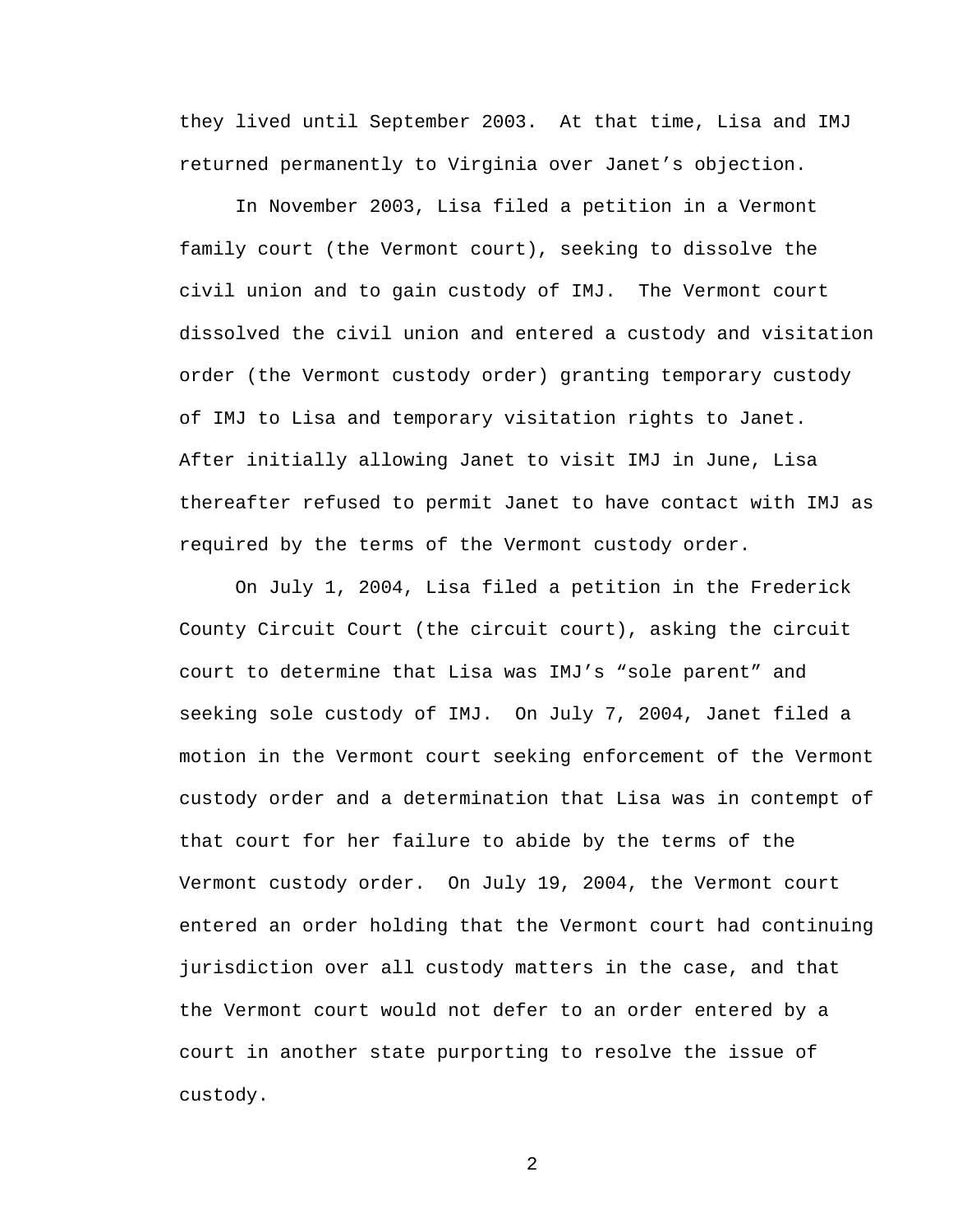they lived until September 2003. At that time, Lisa and IMJ returned permanently to Virginia over Janet's objection.

 In November 2003, Lisa filed a petition in a Vermont family court (the Vermont court), seeking to dissolve the civil union and to gain custody of IMJ. The Vermont court dissolved the civil union and entered a custody and visitation order (the Vermont custody order) granting temporary custody of IMJ to Lisa and temporary visitation rights to Janet. After initially allowing Janet to visit IMJ in June, Lisa thereafter refused to permit Janet to have contact with IMJ as required by the terms of the Vermont custody order.

 On July 1, 2004, Lisa filed a petition in the Frederick County Circuit Court (the circuit court), asking the circuit court to determine that Lisa was IMJ's "sole parent" and seeking sole custody of IMJ. On July 7, 2004, Janet filed a motion in the Vermont court seeking enforcement of the Vermont custody order and a determination that Lisa was in contempt of that court for her failure to abide by the terms of the Vermont custody order. On July 19, 2004, the Vermont court entered an order holding that the Vermont court had continuing jurisdiction over all custody matters in the case, and that the Vermont court would not defer to an order entered by a court in another state purporting to resolve the issue of custody.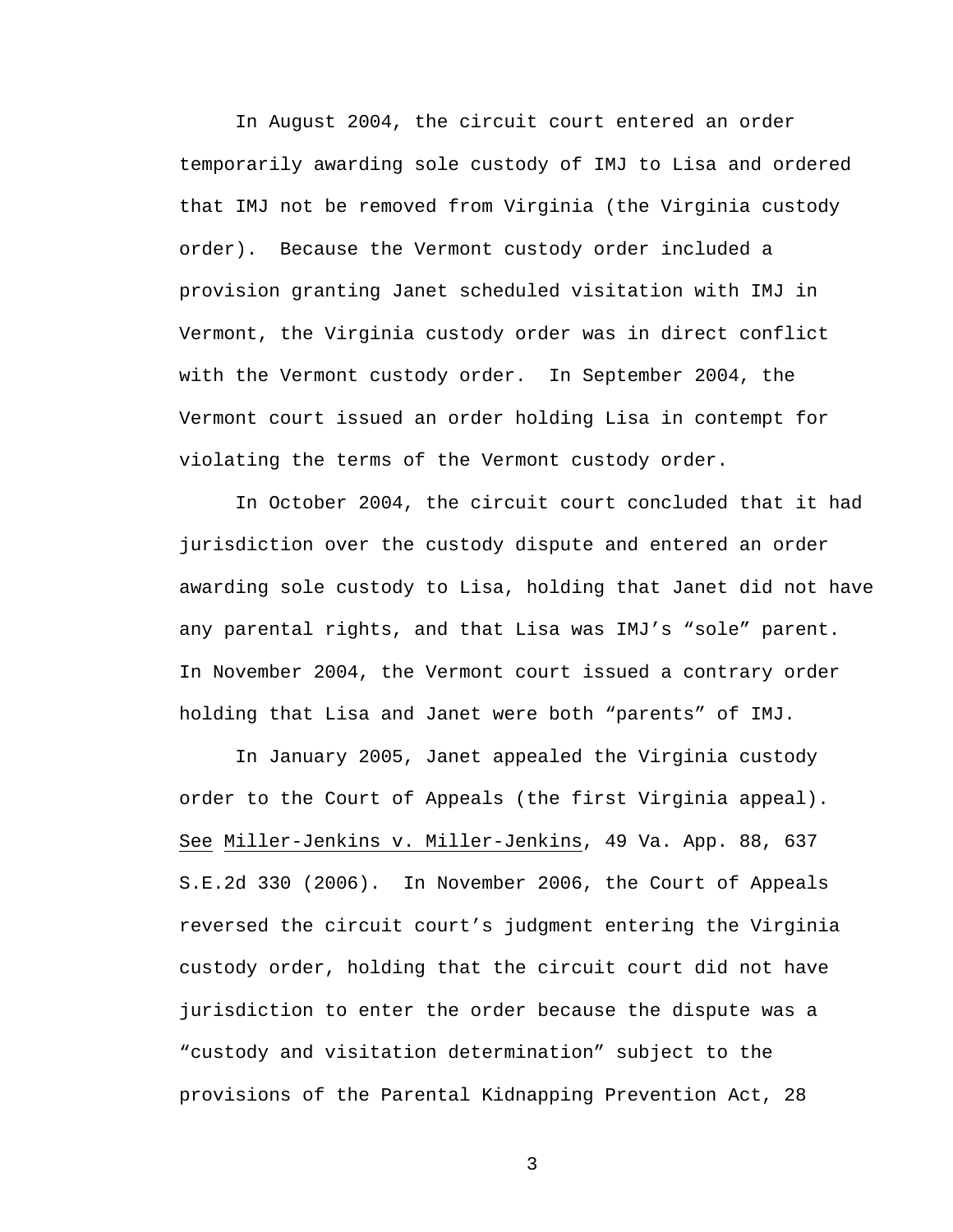In August 2004, the circuit court entered an order temporarily awarding sole custody of IMJ to Lisa and ordered that IMJ not be removed from Virginia (the Virginia custody order). Because the Vermont custody order included a provision granting Janet scheduled visitation with IMJ in Vermont, the Virginia custody order was in direct conflict with the Vermont custody order. In September 2004, the Vermont court issued an order holding Lisa in contempt for violating the terms of the Vermont custody order.

 In October 2004, the circuit court concluded that it had jurisdiction over the custody dispute and entered an order awarding sole custody to Lisa, holding that Janet did not have any parental rights, and that Lisa was IMJ's "sole" parent. In November 2004, the Vermont court issued a contrary order holding that Lisa and Janet were both "parents" of IMJ.

 In January 2005, Janet appealed the Virginia custody order to the Court of Appeals (the first Virginia appeal). See Miller-Jenkins v. Miller-Jenkins, 49 Va. App. 88, 637 S.E.2d 330 (2006). In November 2006, the Court of Appeals reversed the circuit court's judgment entering the Virginia custody order, holding that the circuit court did not have jurisdiction to enter the order because the dispute was a "custody and visitation determination" subject to the provisions of the Parental Kidnapping Prevention Act, 28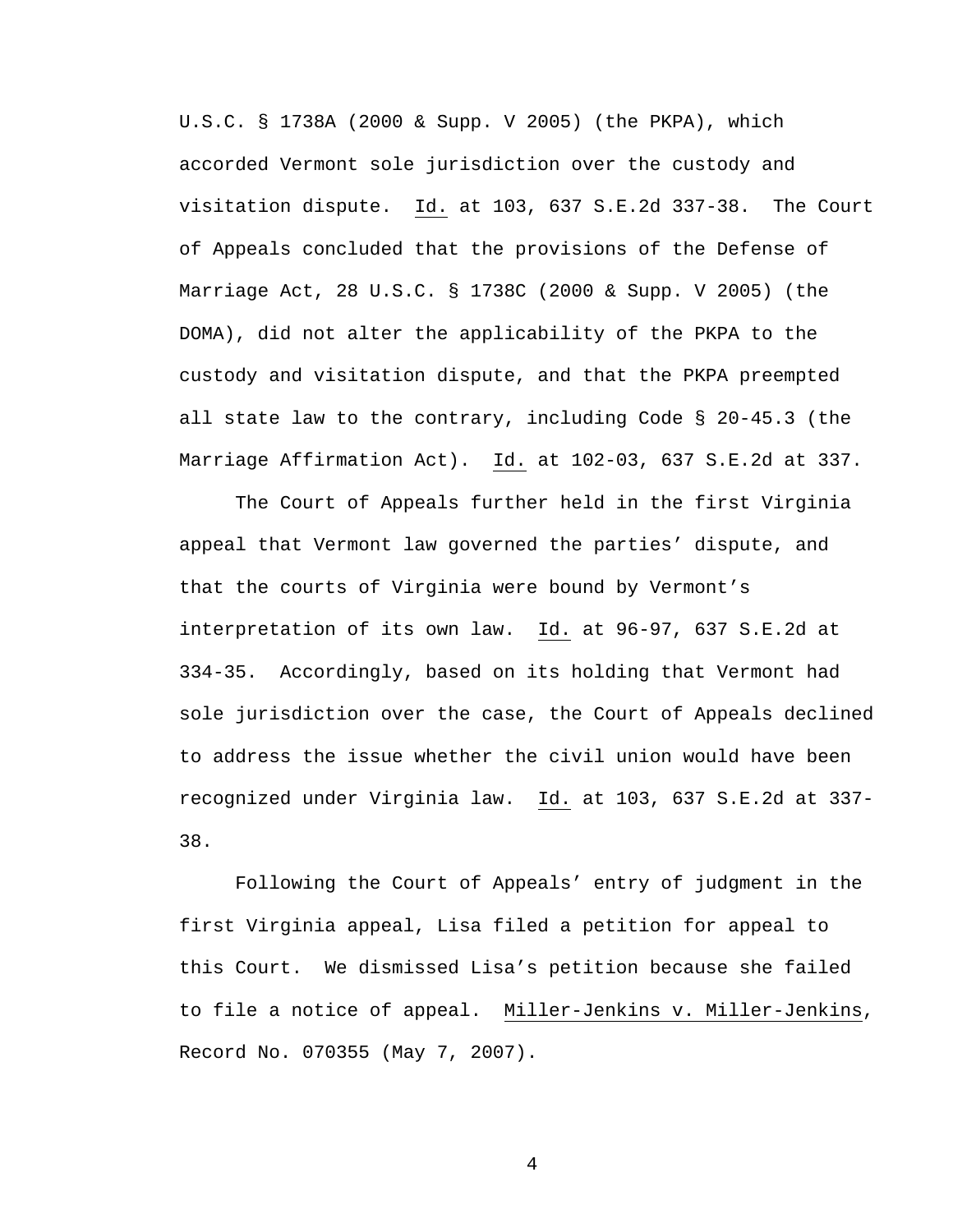U.S.C. § 1738A (2000 & Supp. V 2005) (the PKPA), which accorded Vermont sole jurisdiction over the custody and visitation dispute. Id. at 103, 637 S.E.2d 337-38. The Court of Appeals concluded that the provisions of the Defense of Marriage Act, 28 U.S.C. § 1738C (2000 & Supp. V 2005) (the DOMA), did not alter the applicability of the PKPA to the custody and visitation dispute, and that the PKPA preempted all state law to the contrary, including Code § 20-45.3 (the Marriage Affirmation Act). Id. at 102-03, 637 S.E.2d at 337.

 The Court of Appeals further held in the first Virginia appeal that Vermont law governed the parties' dispute, and that the courts of Virginia were bound by Vermont's interpretation of its own law. Id. at 96-97, 637 S.E.2d at 334-35. Accordingly, based on its holding that Vermont had sole jurisdiction over the case, the Court of Appeals declined to address the issue whether the civil union would have been recognized under Virginia law. Id. at 103, 637 S.E.2d at 337- 38.

 Following the Court of Appeals' entry of judgment in the first Virginia appeal, Lisa filed a petition for appeal to this Court. We dismissed Lisa's petition because she failed to file a notice of appeal. Miller-Jenkins v. Miller-Jenkins, Record No. 070355 (May 7, 2007).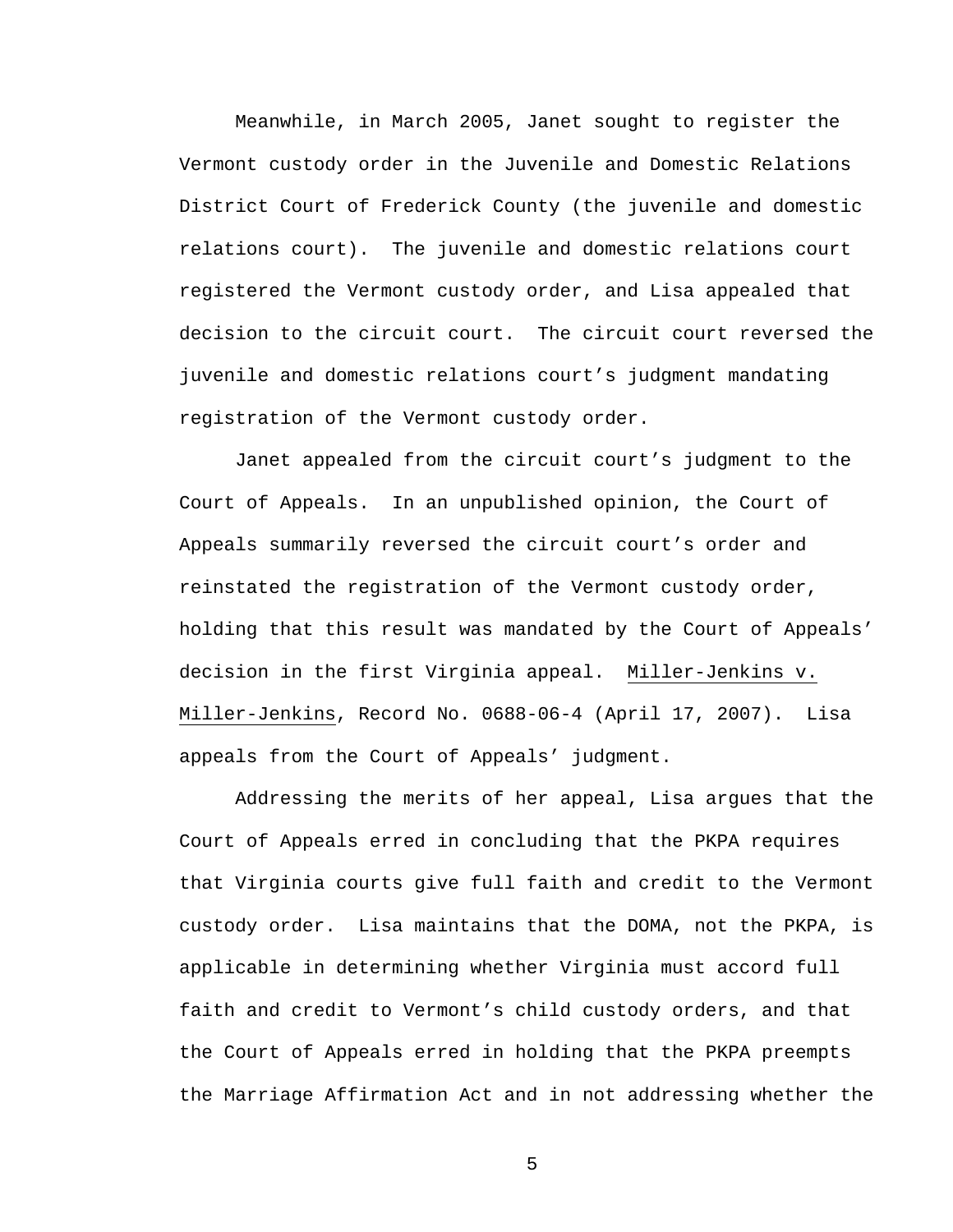Meanwhile, in March 2005, Janet sought to register the Vermont custody order in the Juvenile and Domestic Relations District Court of Frederick County (the juvenile and domestic relations court). The juvenile and domestic relations court registered the Vermont custody order, and Lisa appealed that decision to the circuit court. The circuit court reversed the juvenile and domestic relations court's judgment mandating registration of the Vermont custody order.

 Janet appealed from the circuit court's judgment to the Court of Appeals. In an unpublished opinion, the Court of Appeals summarily reversed the circuit court's order and reinstated the registration of the Vermont custody order, holding that this result was mandated by the Court of Appeals' decision in the first Virginia appeal. Miller-Jenkins v. Miller-Jenkins, Record No. 0688-06-4 (April 17, 2007). Lisa appeals from the Court of Appeals' judgment.

 Addressing the merits of her appeal, Lisa argues that the Court of Appeals erred in concluding that the PKPA requires that Virginia courts give full faith and credit to the Vermont custody order. Lisa maintains that the DOMA, not the PKPA, is applicable in determining whether Virginia must accord full faith and credit to Vermont's child custody orders, and that the Court of Appeals erred in holding that the PKPA preempts the Marriage Affirmation Act and in not addressing whether the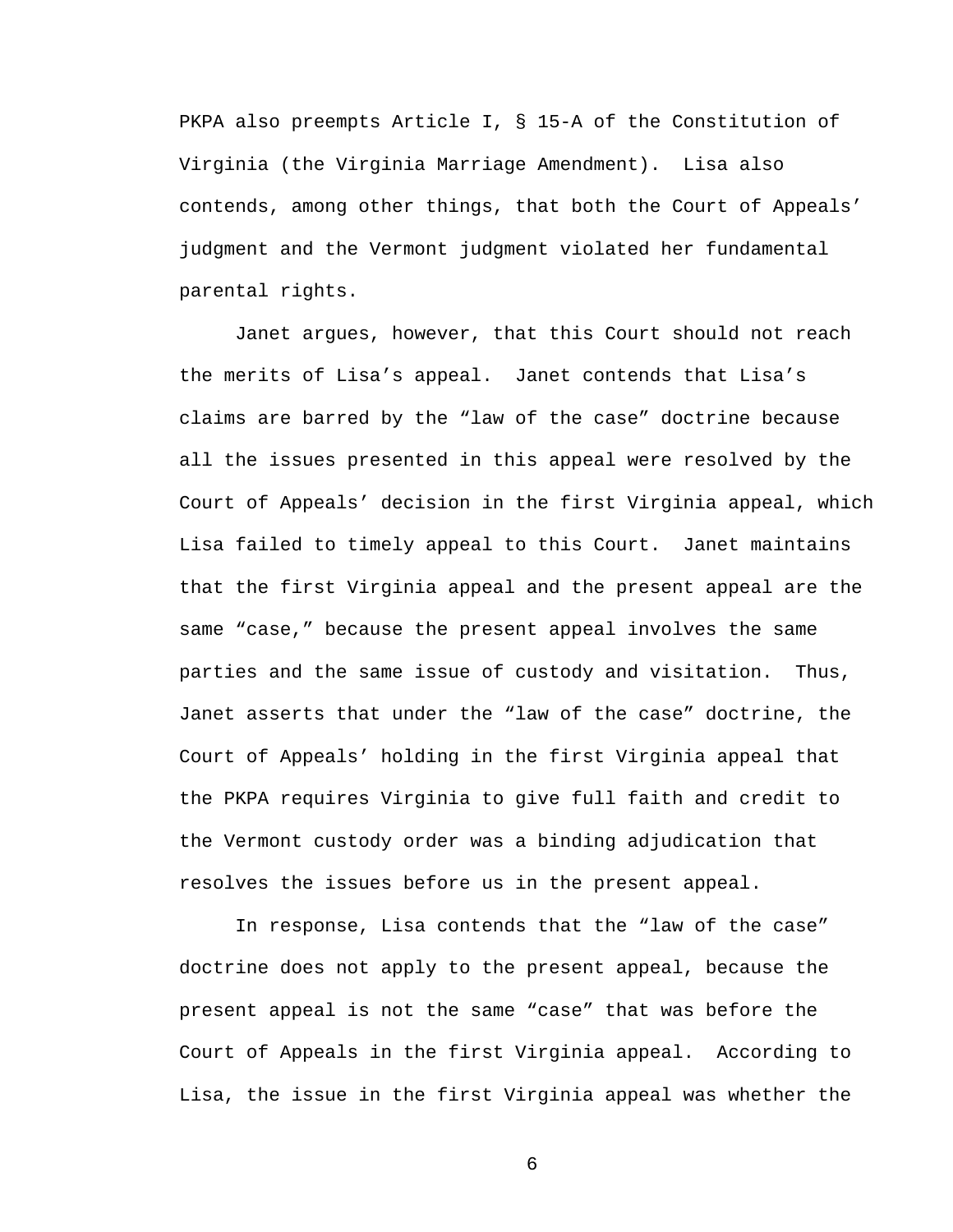PKPA also preempts Article I, § 15-A of the Constitution of Virginia (the Virginia Marriage Amendment). Lisa also contends, among other things, that both the Court of Appeals' judgment and the Vermont judgment violated her fundamental parental rights.

 Janet argues, however, that this Court should not reach the merits of Lisa's appeal. Janet contends that Lisa's claims are barred by the "law of the case" doctrine because all the issues presented in this appeal were resolved by the Court of Appeals' decision in the first Virginia appeal, which Lisa failed to timely appeal to this Court. Janet maintains that the first Virginia appeal and the present appeal are the same "case," because the present appeal involves the same parties and the same issue of custody and visitation. Thus, Janet asserts that under the "law of the case" doctrine, the Court of Appeals' holding in the first Virginia appeal that the PKPA requires Virginia to give full faith and credit to the Vermont custody order was a binding adjudication that resolves the issues before us in the present appeal.

 In response, Lisa contends that the "law of the case" doctrine does not apply to the present appeal, because the present appeal is not the same "case" that was before the Court of Appeals in the first Virginia appeal. According to Lisa, the issue in the first Virginia appeal was whether the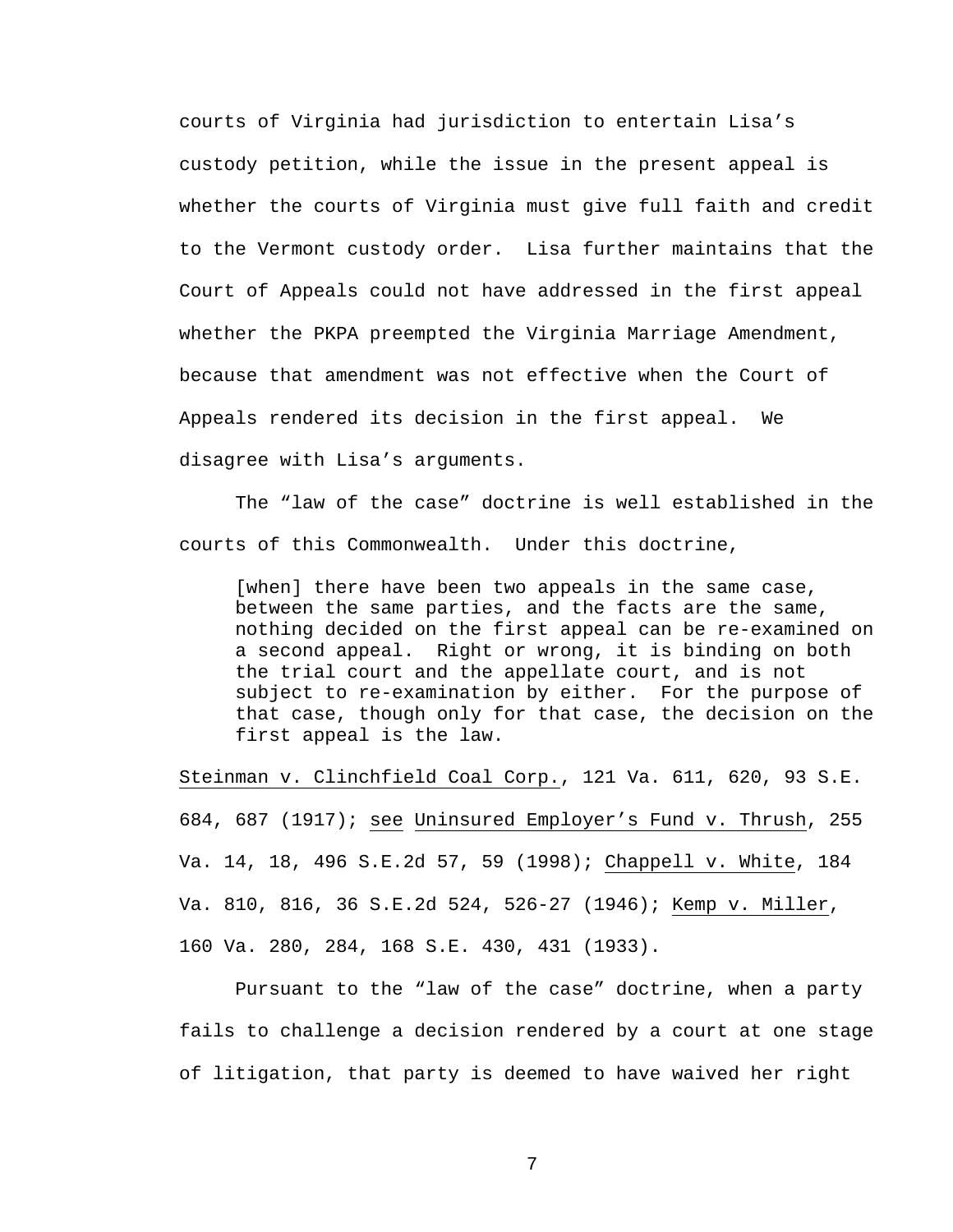courts of Virginia had jurisdiction to entertain Lisa's custody petition, while the issue in the present appeal is whether the courts of Virginia must give full faith and credit to the Vermont custody order. Lisa further maintains that the Court of Appeals could not have addressed in the first appeal whether the PKPA preempted the Virginia Marriage Amendment, because that amendment was not effective when the Court of Appeals rendered its decision in the first appeal. We disagree with Lisa's arguments.

 The "law of the case" doctrine is well established in the courts of this Commonwealth. Under this doctrine,

[when] there have been two appeals in the same case, between the same parties, and the facts are the same, nothing decided on the first appeal can be re-examined on a second appeal. Right or wrong, it is binding on both the trial court and the appellate court, and is not subject to re-examination by either. For the purpose of that case, though only for that case, the decision on the first appeal is the law.

Steinman v. Clinchfield Coal Corp., 121 Va. 611, 620, 93 S.E. 684, 687 (1917); see Uninsured Employer's Fund v. Thrush, 255 Va. 14, 18, 496 S.E.2d 57, 59 (1998); Chappell v. White, 184 Va. 810, 816, 36 S.E.2d 524, 526-27 (1946); Kemp v. Miller, 160 Va. 280, 284, 168 S.E. 430, 431 (1933).

 Pursuant to the "law of the case" doctrine, when a party fails to challenge a decision rendered by a court at one stage of litigation, that party is deemed to have waived her right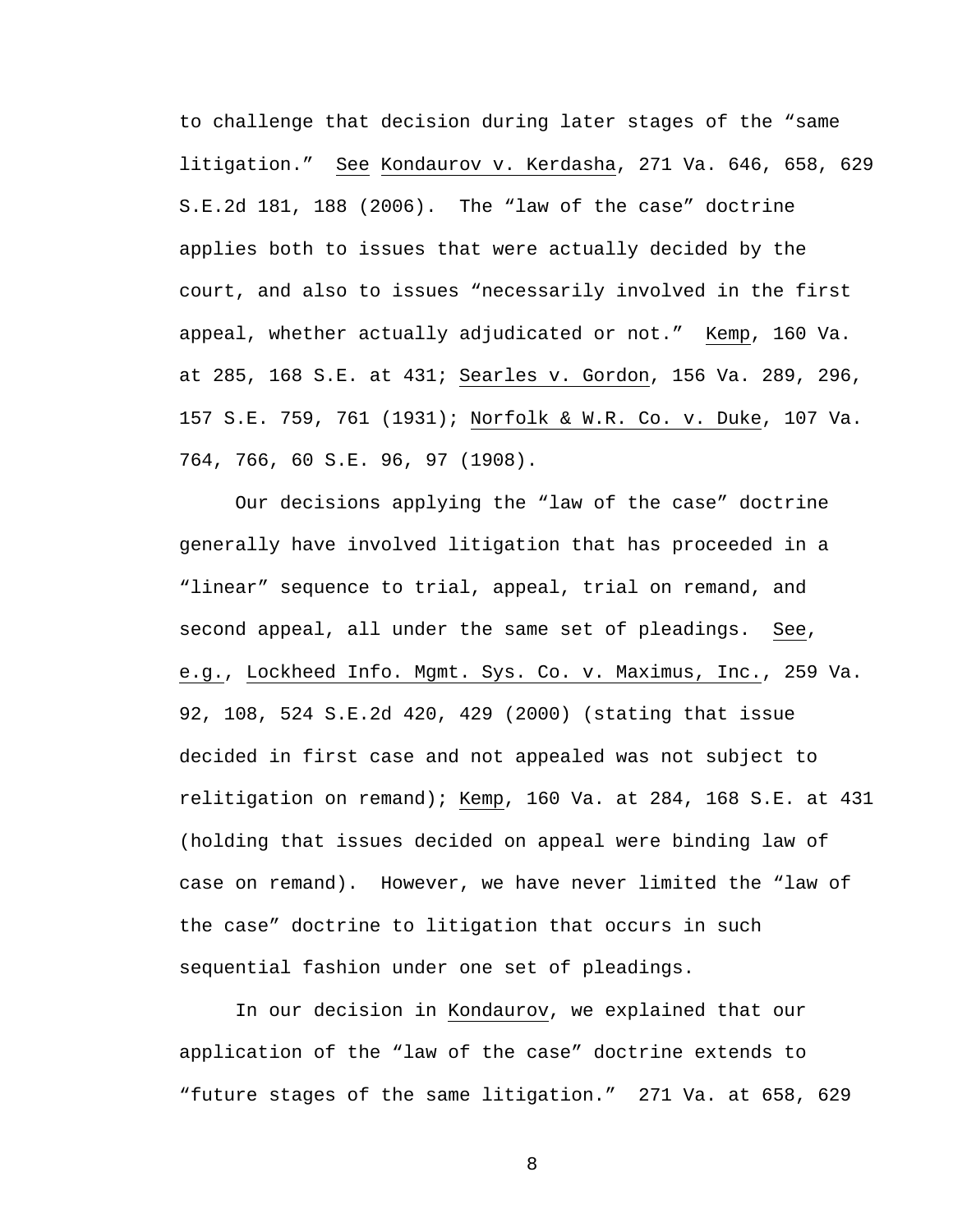to challenge that decision during later stages of the "same litigation." See Kondaurov v. Kerdasha, 271 Va. 646, 658, 629 S.E.2d 181, 188 (2006). The "law of the case" doctrine applies both to issues that were actually decided by the court, and also to issues "necessarily involved in the first appeal, whether actually adjudicated or not." Kemp, 160 Va. at 285, 168 S.E. at 431; Searles v. Gordon, 156 Va. 289, 296, 157 S.E. 759, 761 (1931); Norfolk & W.R. Co. v. Duke, 107 Va. 764, 766, 60 S.E. 96, 97 (1908).

 Our decisions applying the "law of the case" doctrine generally have involved litigation that has proceeded in a "linear" sequence to trial, appeal, trial on remand, and second appeal, all under the same set of pleadings. See, e.g., Lockheed Info. Mgmt. Sys. Co. v. Maximus, Inc., 259 Va. 92, 108, 524 S.E.2d 420, 429 (2000) (stating that issue decided in first case and not appealed was not subject to relitigation on remand); Kemp, 160 Va. at 284, 168 S.E. at 431 (holding that issues decided on appeal were binding law of case on remand). However, we have never limited the "law of the case" doctrine to litigation that occurs in such sequential fashion under one set of pleadings.

 In our decision in Kondaurov, we explained that our application of the "law of the case" doctrine extends to "future stages of the same litigation." 271 Va. at 658, 629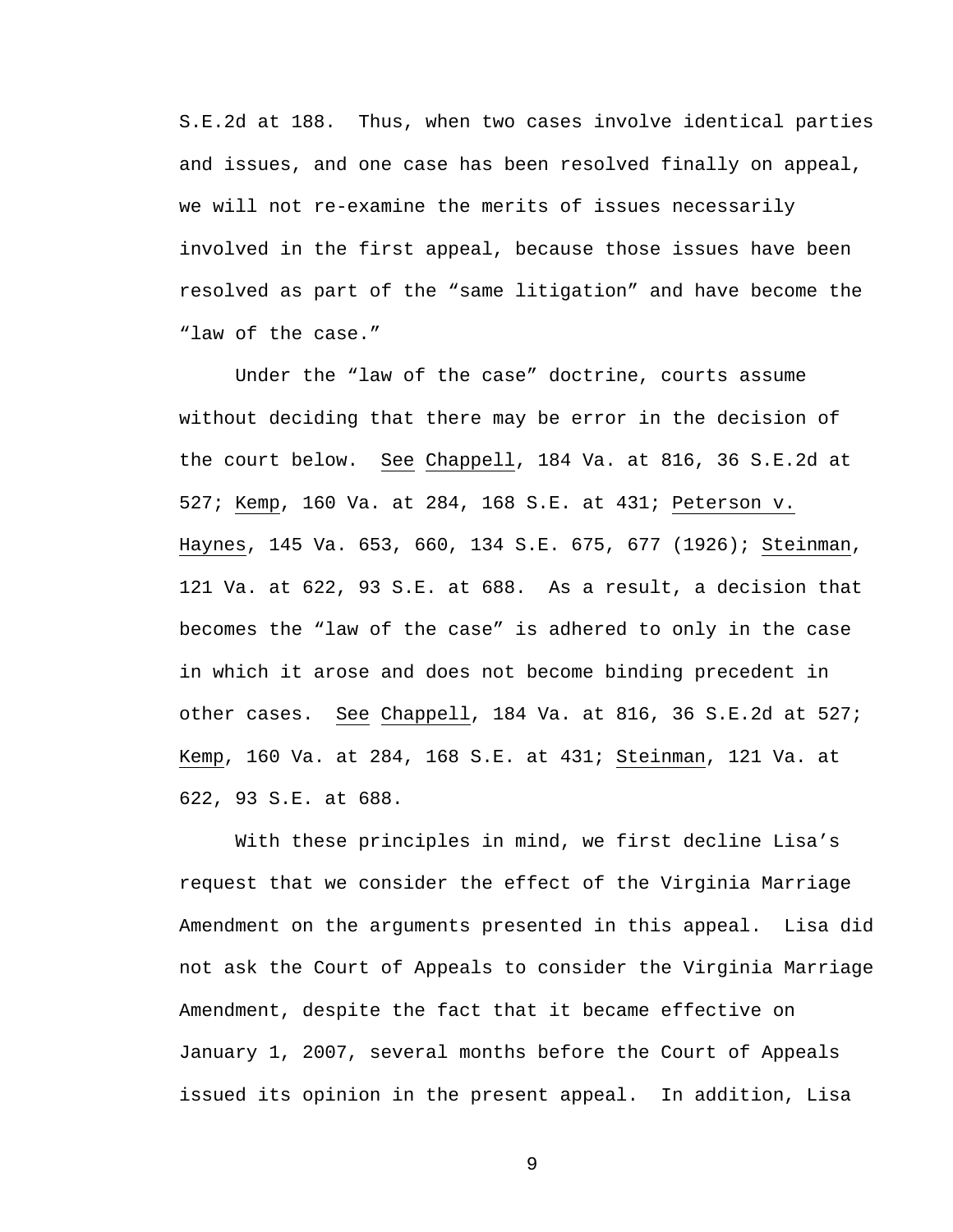S.E.2d at 188. Thus, when two cases involve identical parties and issues, and one case has been resolved finally on appeal, we will not re-examine the merits of issues necessarily involved in the first appeal, because those issues have been resolved as part of the "same litigation" and have become the "law of the case."

 Under the "law of the case" doctrine, courts assume without deciding that there may be error in the decision of the court below. See Chappell, 184 Va. at 816, 36 S.E.2d at 527; Kemp, 160 Va. at 284, 168 S.E. at 431; Peterson v. Haynes, 145 Va. 653, 660, 134 S.E. 675, 677 (1926); Steinman, 121 Va. at 622, 93 S.E. at 688. As a result, a decision that becomes the "law of the case" is adhered to only in the case in which it arose and does not become binding precedent in other cases. See Chappell, 184 Va. at 816, 36 S.E.2d at 527; Kemp, 160 Va. at 284, 168 S.E. at 431; Steinman, 121 Va. at 622, 93 S.E. at 688.

With these principles in mind, we first decline Lisa's request that we consider the effect of the Virginia Marriage Amendment on the arguments presented in this appeal. Lisa did not ask the Court of Appeals to consider the Virginia Marriage Amendment, despite the fact that it became effective on January 1, 2007, several months before the Court of Appeals issued its opinion in the present appeal. In addition, Lisa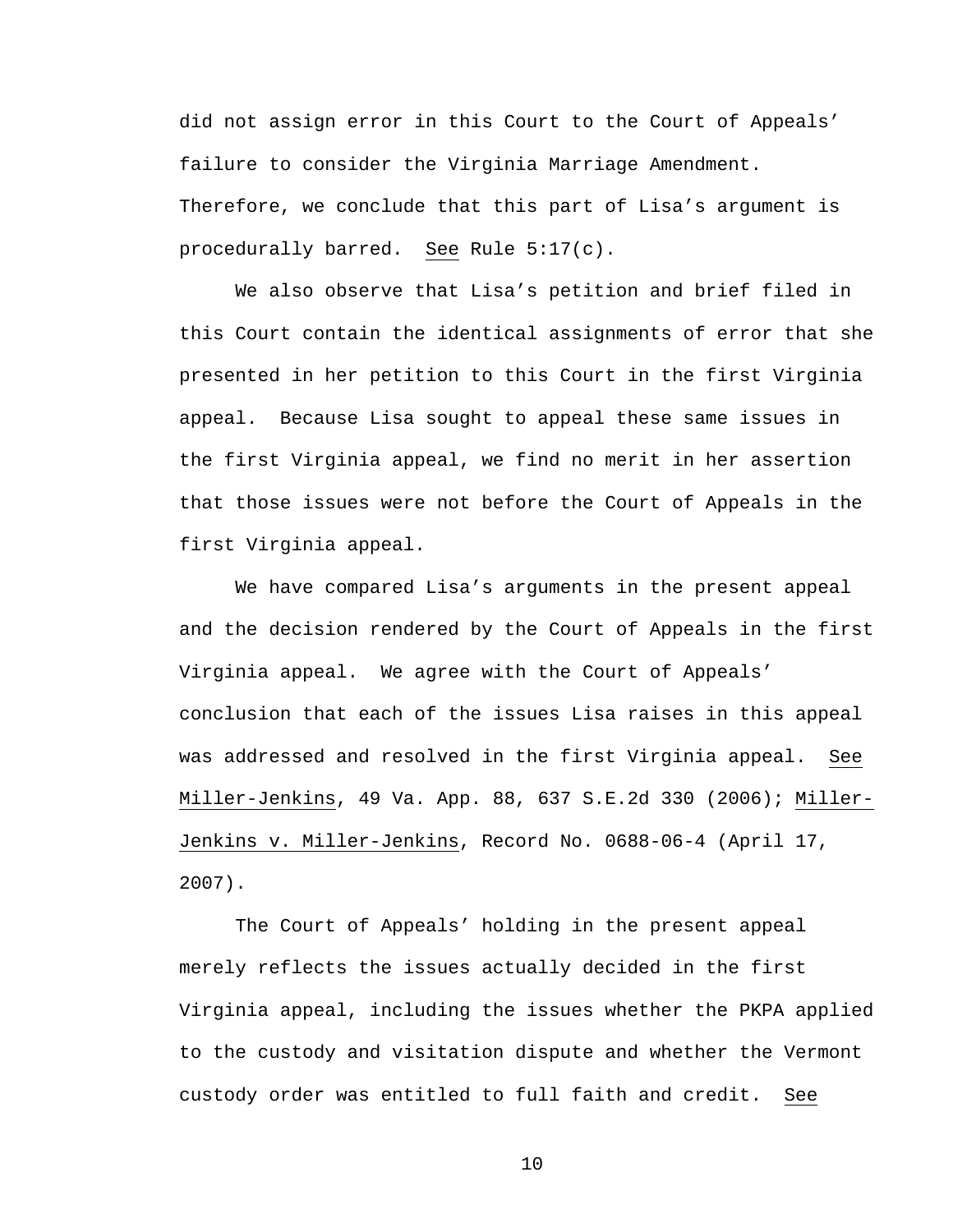did not assign error in this Court to the Court of Appeals' failure to consider the Virginia Marriage Amendment. Therefore, we conclude that this part of Lisa's argument is procedurally barred. See Rule 5:17(c).

We also observe that Lisa's petition and brief filed in this Court contain the identical assignments of error that she presented in her petition to this Court in the first Virginia appeal. Because Lisa sought to appeal these same issues in the first Virginia appeal, we find no merit in her assertion that those issues were not before the Court of Appeals in the first Virginia appeal.

We have compared Lisa's arguments in the present appeal and the decision rendered by the Court of Appeals in the first Virginia appeal. We agree with the Court of Appeals' conclusion that each of the issues Lisa raises in this appeal was addressed and resolved in the first Virginia appeal. See Miller-Jenkins, 49 Va. App. 88, 637 S.E.2d 330 (2006); Miller-Jenkins v. Miller-Jenkins, Record No. 0688-06-4 (April 17, 2007).

The Court of Appeals' holding in the present appeal merely reflects the issues actually decided in the first Virginia appeal, including the issues whether the PKPA applied to the custody and visitation dispute and whether the Vermont custody order was entitled to full faith and credit. See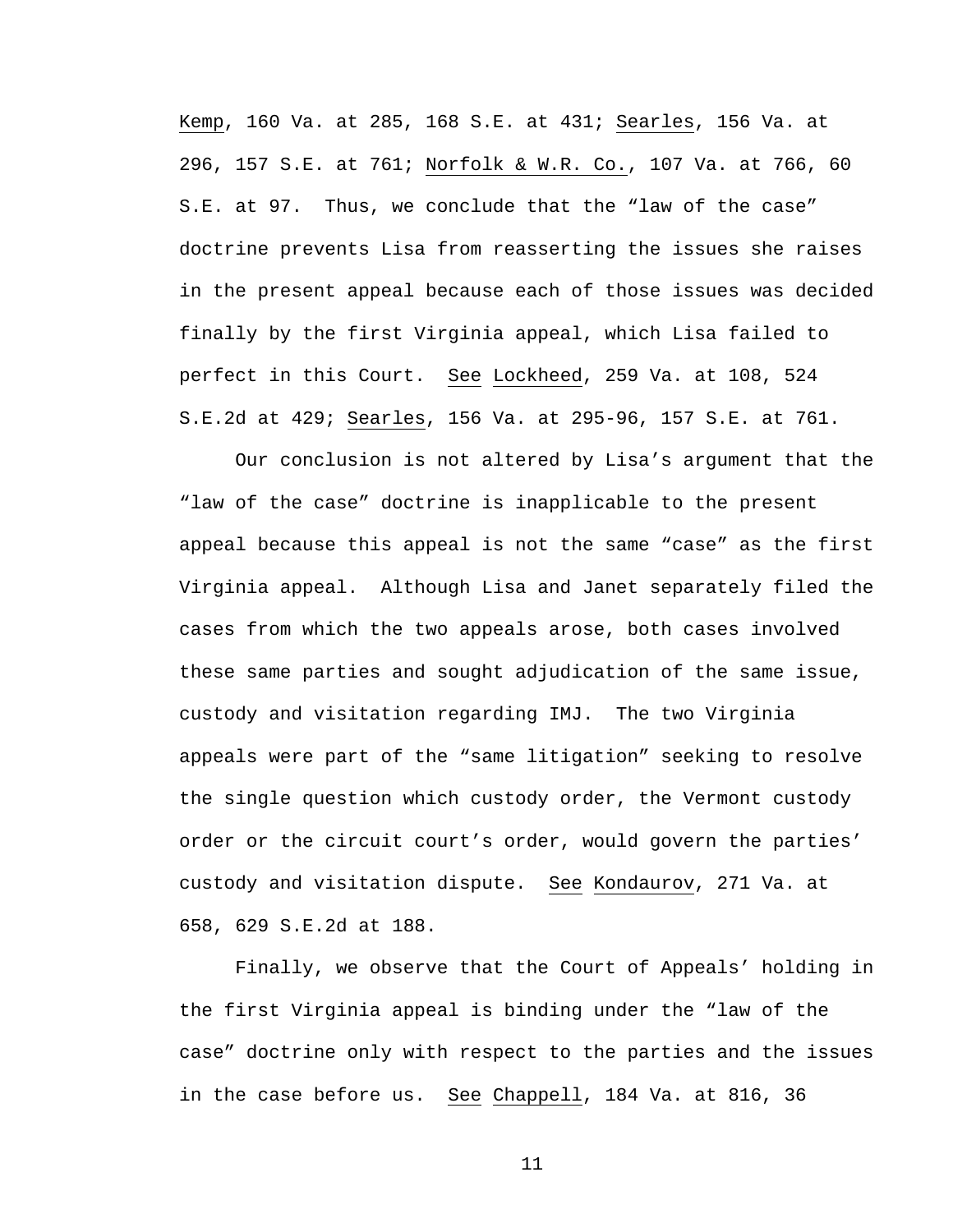Kemp, 160 Va. at 285, 168 S.E. at 431; Searles, 156 Va. at 296, 157 S.E. at 761; Norfolk & W.R. Co., 107 Va. at 766, 60 S.E. at 97. Thus, we conclude that the "law of the case" doctrine prevents Lisa from reasserting the issues she raises in the present appeal because each of those issues was decided finally by the first Virginia appeal, which Lisa failed to perfect in this Court. See Lockheed, 259 Va. at 108, 524 S.E.2d at 429; Searles, 156 Va. at 295-96, 157 S.E. at 761.

 Our conclusion is not altered by Lisa's argument that the "law of the case" doctrine is inapplicable to the present appeal because this appeal is not the same "case" as the first Virginia appeal. Although Lisa and Janet separately filed the cases from which the two appeals arose, both cases involved these same parties and sought adjudication of the same issue, custody and visitation regarding IMJ. The two Virginia appeals were part of the "same litigation" seeking to resolve the single question which custody order, the Vermont custody order or the circuit court's order, would govern the parties' custody and visitation dispute. See Kondaurov, 271 Va. at 658, 629 S.E.2d at 188.

 Finally, we observe that the Court of Appeals' holding in the first Virginia appeal is binding under the "law of the case" doctrine only with respect to the parties and the issues in the case before us. See Chappell, 184 Va. at 816, 36